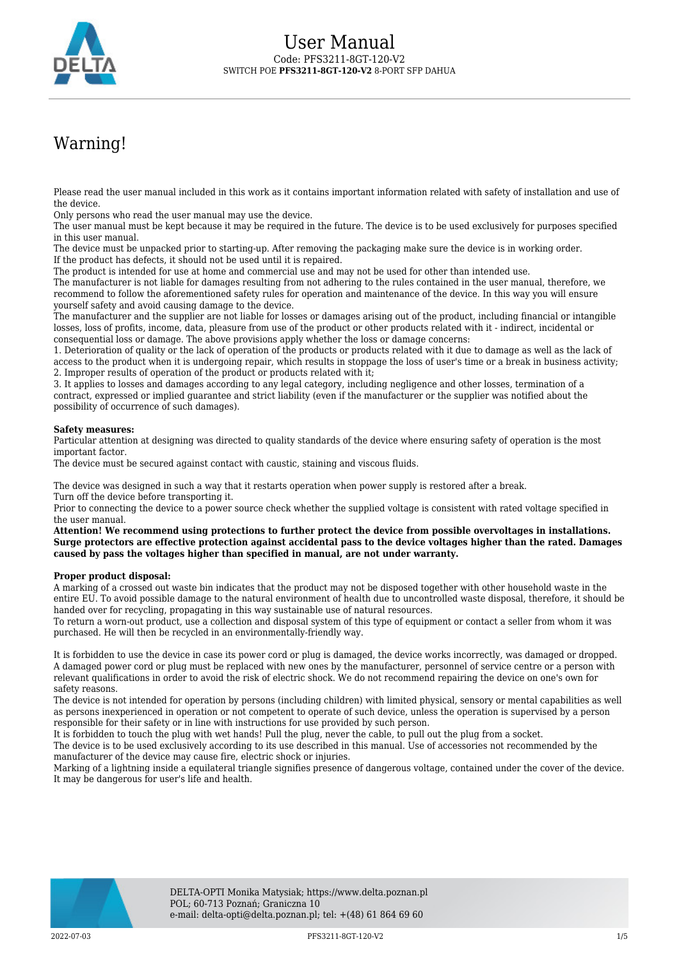

# Warning!

Please read the user manual included in this work as it contains important information related with safety of installation and use of the device.

Only persons who read the user manual may use the device.

The user manual must be kept because it may be required in the future. The device is to be used exclusively for purposes specified in this user manual.

The device must be unpacked prior to starting-up. After removing the packaging make sure the device is in working order. If the product has defects, it should not be used until it is repaired.

The product is intended for use at home and commercial use and may not be used for other than intended use.

The manufacturer is not liable for damages resulting from not adhering to the rules contained in the user manual, therefore, we recommend to follow the aforementioned safety rules for operation and maintenance of the device. In this way you will ensure yourself safety and avoid causing damage to the device.

The manufacturer and the supplier are not liable for losses or damages arising out of the product, including financial or intangible losses, loss of profits, income, data, pleasure from use of the product or other products related with it - indirect, incidental or consequential loss or damage. The above provisions apply whether the loss or damage concerns:

1. Deterioration of quality or the lack of operation of the products or products related with it due to damage as well as the lack of access to the product when it is undergoing repair, which results in stoppage the loss of user's time or a break in business activity; 2. Improper results of operation of the product or products related with it;

3. It applies to losses and damages according to any legal category, including negligence and other losses, termination of a contract, expressed or implied guarantee and strict liability (even if the manufacturer or the supplier was notified about the possibility of occurrence of such damages).

#### **Safety measures:**

Particular attention at designing was directed to quality standards of the device where ensuring safety of operation is the most important factor.

The device must be secured against contact with caustic, staining and viscous fluids.

The device was designed in such a way that it restarts operation when power supply is restored after a break. Turn off the device before transporting it.

Prior to connecting the device to a power source check whether the supplied voltage is consistent with rated voltage specified in the user manual.

**Attention! We recommend using protections to further protect the device from possible overvoltages in installations. Surge protectors are effective protection against accidental pass to the device voltages higher than the rated. Damages caused by pass the voltages higher than specified in manual, are not under warranty.**

#### **Proper product disposal:**

A marking of a crossed out waste bin indicates that the product may not be disposed together with other household waste in the entire EU. To avoid possible damage to the natural environment of health due to uncontrolled waste disposal, therefore, it should be handed over for recycling, propagating in this way sustainable use of natural resources.

To return a worn-out product, use a collection and disposal system of this type of equipment or contact a seller from whom it was purchased. He will then be recycled in an environmentally-friendly way.

It is forbidden to use the device in case its power cord or plug is damaged, the device works incorrectly, was damaged or dropped. A damaged power cord or plug must be replaced with new ones by the manufacturer, personnel of service centre or a person with relevant qualifications in order to avoid the risk of electric shock. We do not recommend repairing the device on one's own for safety reasons.

The device is not intended for operation by persons (including children) with limited physical, sensory or mental capabilities as well as persons inexperienced in operation or not competent to operate of such device, unless the operation is supervised by a person responsible for their safety or in line with instructions for use provided by such person.

It is forbidden to touch the plug with wet hands! Pull the plug, never the cable, to pull out the plug from a socket.

The device is to be used exclusively according to its use described in this manual. Use of accessories not recommended by the manufacturer of the device may cause fire, electric shock or injuries.

Marking of a lightning inside a equilateral triangle signifies presence of dangerous voltage, contained under the cover of the device. It may be dangerous for user's life and health.

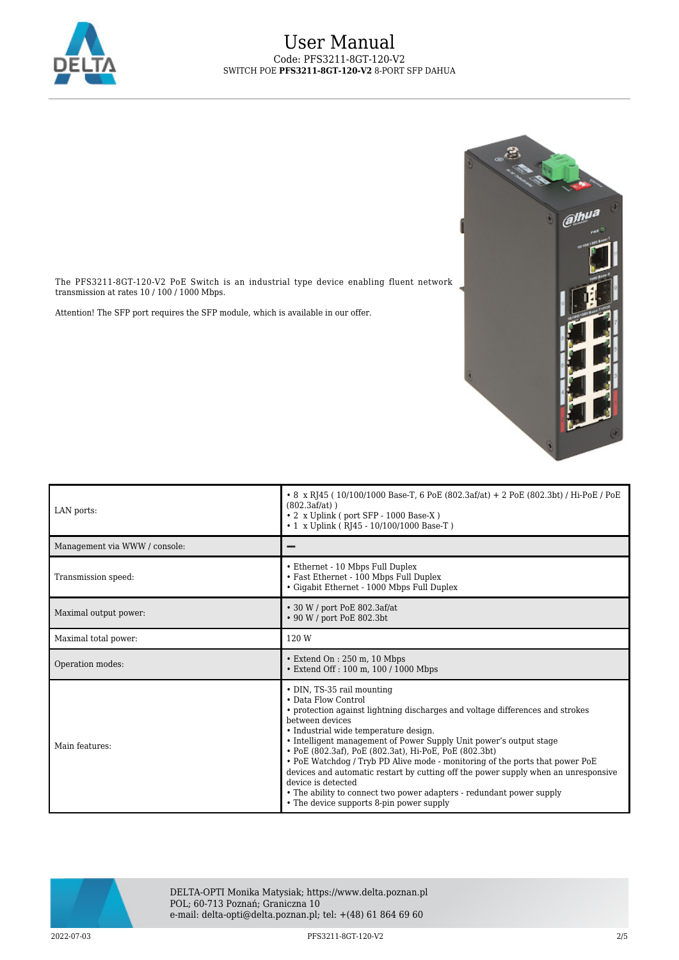



The PFS3211-8GT-120-V2 PoE Switch is an industrial type device enabling fluent network transmission at rates  $10$  /  $100$  /  $1000$  Mbps.

Attention! The SFP port requires the SFP module, which is available in our offer.

| LAN ports:                    | • 8 x RJ45 (10/100/1000 Base-T, 6 PoE (802.3af/at) + 2 PoE (802.3bt) / Hi-PoE / PoE<br>$(802.3af/at)$ )<br>• 2 x Uplink (port SFP - 1000 Base-X)<br>• 1 x Uplink (RJ45 - 10/100/1000 Base-T)                                                                                                                                                                                                                                                                                                                                                                                                                                                  |
|-------------------------------|-----------------------------------------------------------------------------------------------------------------------------------------------------------------------------------------------------------------------------------------------------------------------------------------------------------------------------------------------------------------------------------------------------------------------------------------------------------------------------------------------------------------------------------------------------------------------------------------------------------------------------------------------|
| Management via WWW / console: |                                                                                                                                                                                                                                                                                                                                                                                                                                                                                                                                                                                                                                               |
| Transmission speed:           | • Ethernet - 10 Mbps Full Duplex<br>• Fast Ethernet - 100 Mbps Full Duplex<br>• Gigabit Ethernet - 1000 Mbps Full Duplex                                                                                                                                                                                                                                                                                                                                                                                                                                                                                                                      |
| Maximal output power:         | • 30 W / port PoE 802.3af/at<br>• 90 W / port PoE 802.3bt                                                                                                                                                                                                                                                                                                                                                                                                                                                                                                                                                                                     |
| Maximal total power:          | 120 W                                                                                                                                                                                                                                                                                                                                                                                                                                                                                                                                                                                                                                         |
| Operation modes:              | • Extend On : 250 m, 10 Mbps<br>• Extend Off : 100 m, 100 / 1000 Mbps                                                                                                                                                                                                                                                                                                                                                                                                                                                                                                                                                                         |
| Main features:                | • DIN, TS-35 rail mounting<br>• Data Flow Control<br>• protection against lightning discharges and voltage differences and strokes<br>between devices<br>• Industrial wide temperature design.<br>• Intelligent management of Power Supply Unit power's output stage<br>• PoE (802.3af), PoE (802.3at), Hi-PoE, PoE (802.3bt)<br>• PoE Watchdog / Tryb PD Alive mode - monitoring of the ports that power PoE<br>devices and automatic restart by cutting off the power supply when an unresponsive<br>device is detected<br>• The ability to connect two power adapters - redundant power supply<br>• The device supports 8-pin power supply |



DELTA-OPTI Monika Matysiak; https://www.delta.poznan.pl POL; 60-713 Poznań; Graniczna 10 e-mail: delta-opti@delta.poznan.pl; tel: +(48) 61 864 69 60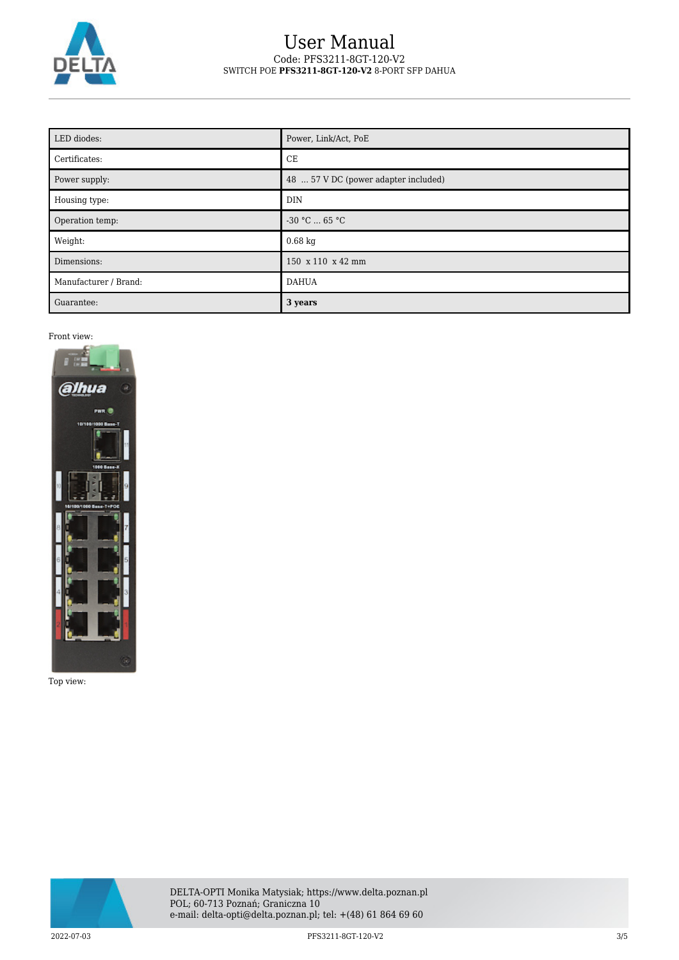

| LED diodes:           | Power, Link/Act, PoE                 |
|-----------------------|--------------------------------------|
| Certificates:         | CE                                   |
| Power supply:         | 48  57 V DC (power adapter included) |
| Housing type:         | <b>DIN</b>                           |
| Operation temp:       | $-30 °C$ 65 °C                       |
| Weight:               | $0.68$ kg                            |
| Dimensions:           | 150 x 110 x 42 mm                    |
| Manufacturer / Brand: | <b>DAHUA</b>                         |
| Guarantee:            | 3 years                              |

Front view:



Top view:

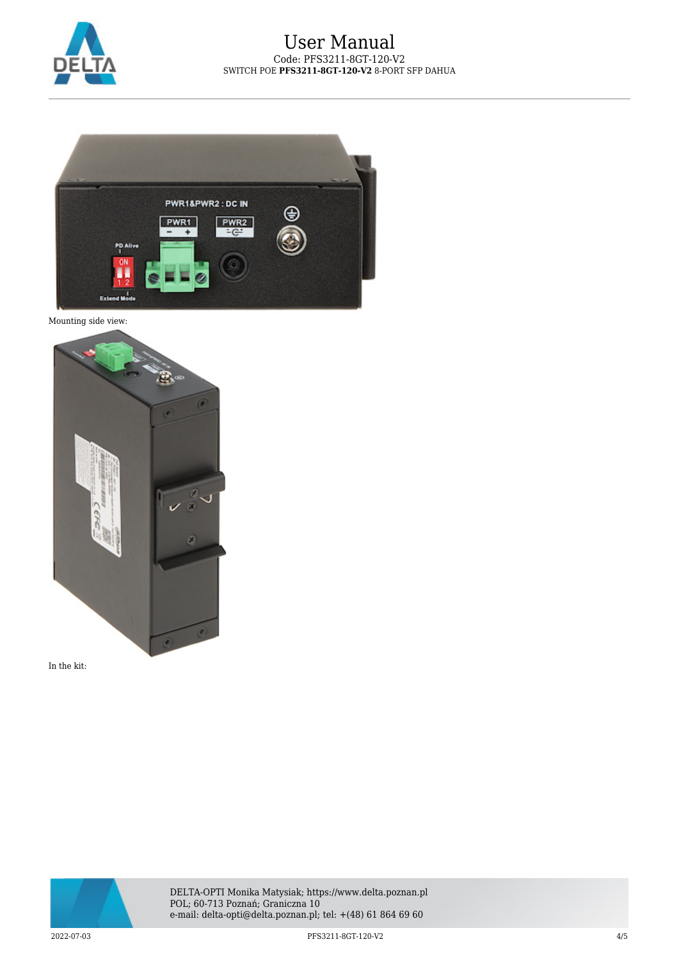







In the kit:



DELTA-OPTI Monika Matysiak; https://www.delta.poznan.pl POL; 60-713 Poznań; Graniczna 10 e-mail: delta-opti@delta.poznan.pl; tel: +(48) 61 864 69 60

2022-07-03 PFS3211-8GT-120-V2 4/5